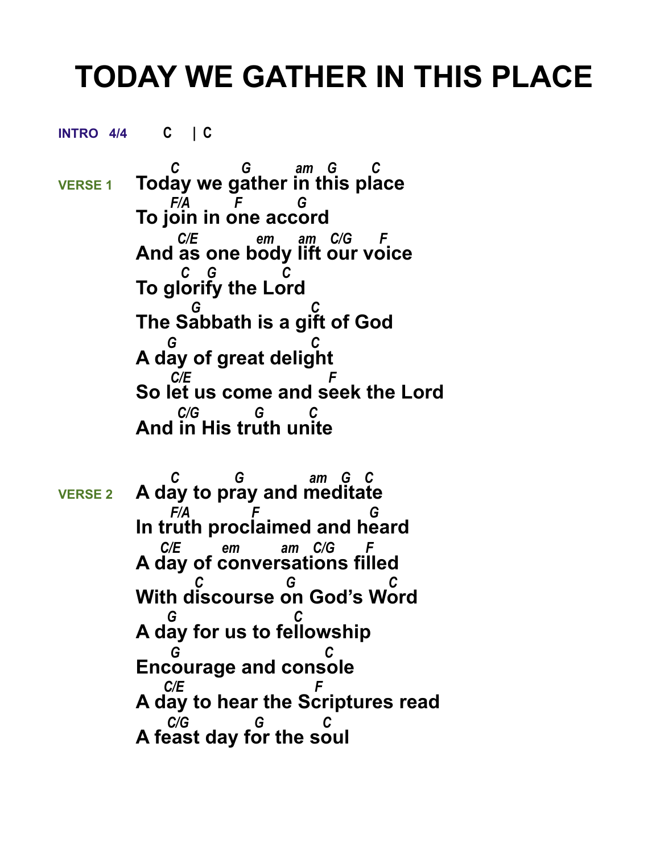## **TODAY WE GATHER IN THIS PLACE**

**INTRO 4/4 C | C** 

 *C G am G C*  **VERSE 1 Today we gather in this place**  *F/A F G* **To join in one accord**  *C/E em am C/G F* **And as one body lift our voice**  *C G C* **To glorify the Lord**  *G C* **The Sabbath is a gift of God**  *G C* **A day of great delight**  *C/E F* **So let us come and seek the Lord**  *C/G G C*  **And in His truth unite**

 *C G am G C*  **VERSE 2 A day to pray and meditate**  *F/A F G* **In truth proclaimed and heard** *C/E* em am *C/G* **A day of conversations filled**  *C G C* **With discourse on God's Word**  *G C* **A day for us to fellowship**  *G C* **Encourage and console**  *C/E F* **A day to hear the Scriptures read**  *C/G G C*  **A feast day for the soul**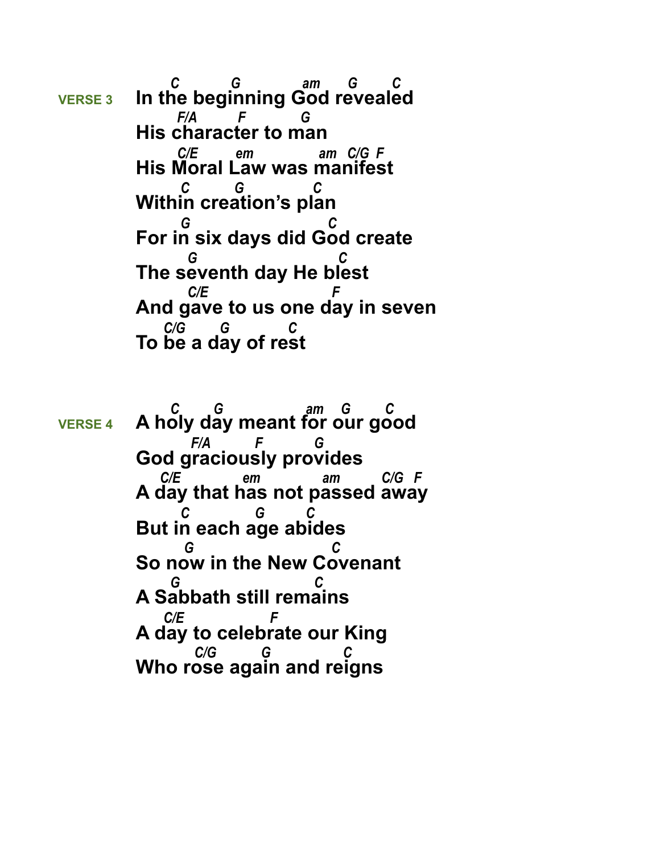*C G am G C*  **VERSE 3 In the beginning God revealed**  *F/A F G* **His character to man**  *C/E em am C/G F* **His Moral Law was manifest**  *C G C* **Within creation's plan**  *G C* **For in six days did God create**  *G C* **The seventh day He blest**  *C/E F* **And gave to us one day in seven**  *C/G G C*  **To be a day of rest**

 *C G am G C*  **VERSE 4 A holy day meant for our good**  *F/A F G* **God graciously provides**  *C/E em am C/G F* **A day that has not passed away**  *C G C* **But in each age abides**  *G C* **So now in the New Covenant**  *G C* **A Sabbath still remains** *C/E* **A day to celebrate our King**  $C/G$ **Who rose again and reigns**